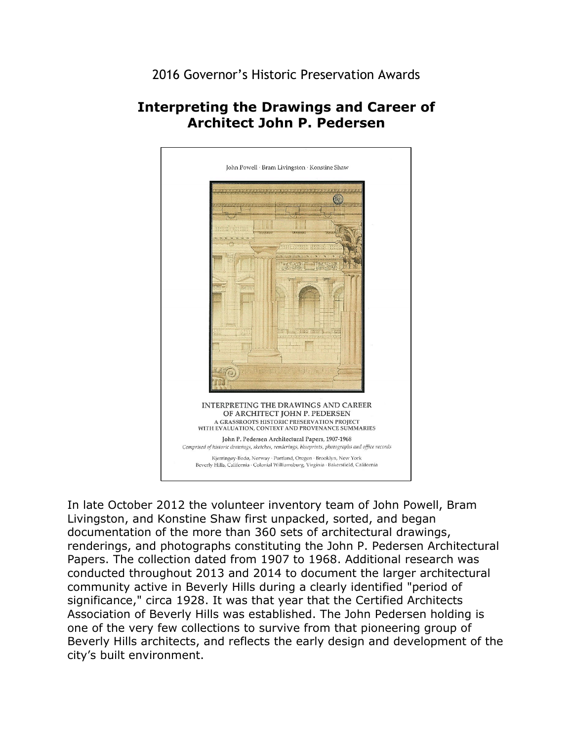2016 Governor's Historic Preservation Awards

## **Interpreting the Drawings and Career of Architect John P. Pedersen**



 documentation of the more than 360 sets of architectural drawings, community active in Beverly Hills during a clearly identified "period of In late October 2012 the volunteer inventory team of John Powell, Bram Livingston, and Konstine Shaw first unpacked, sorted, and began renderings, and photographs constituting the John P. Pedersen Architectural Papers. The collection dated from 1907 to 1968. Additional research was conducted throughout 2013 and 2014 to document the larger architectural significance," circa 1928. It was that year that the Certified Architects Association of Beverly Hills was established. The John Pedersen holding is one of the very few collections to survive from that pioneering group of Beverly Hills architects, and reflects the early design and development of the city's built environment.